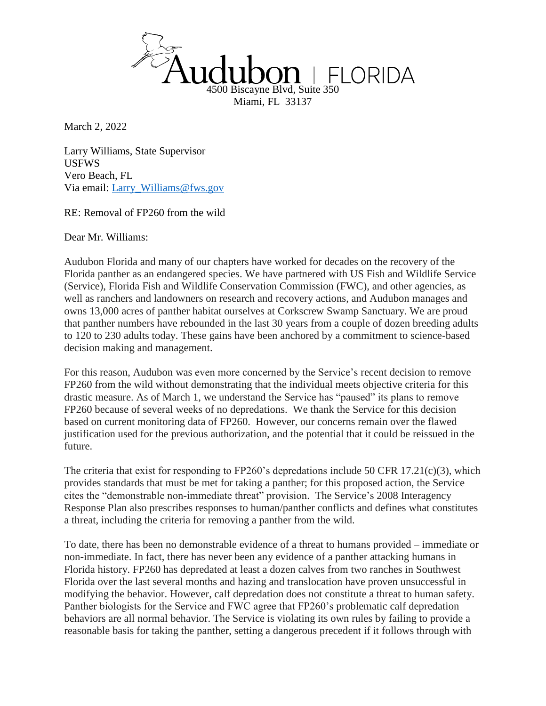

March 2, 2022

Larry Williams, State Supervisor USFWS Vero Beach, FL Via email: [Larry\\_Williams@fws.gov](mailto:Larry_Williams@fws.gov)

RE: Removal of FP260 from the wild

Dear Mr. Williams:

Audubon Florida and many of our chapters have worked for decades on the recovery of the Florida panther as an endangered species. We have partnered with US Fish and Wildlife Service (Service), Florida Fish and Wildlife Conservation Commission (FWC), and other agencies, as well as ranchers and landowners on research and recovery actions, and Audubon manages and owns 13,000 acres of panther habitat ourselves at Corkscrew Swamp Sanctuary. We are proud that panther numbers have rebounded in the last 30 years from a couple of dozen breeding adults to 120 to 230 adults today. These gains have been anchored by a commitment to science-based decision making and management.

For this reason, Audubon was even more concerned by the Service's recent decision to remove FP260 from the wild without demonstrating that the individual meets objective criteria for this drastic measure. As of March 1, we understand the Service has "paused" its plans to remove FP260 because of several weeks of no depredations. We thank the Service for this decision based on current monitoring data of FP260. However, our concerns remain over the flawed justification used for the previous authorization, and the potential that it could be reissued in the future.

The criteria that exist for responding to FP260's depredations include 50 CFR 17.21(c)(3), which provides standards that must be met for taking a panther; for this proposed action, the Service cites the "demonstrable non-immediate threat" provision. The Service's 2008 Interagency Response Plan also prescribes responses to human/panther conflicts and defines what constitutes a threat, including the criteria for removing a panther from the wild.

To date, there has been no demonstrable evidence of a threat to humans provided – immediate or non-immediate. In fact, there has never been any evidence of a panther attacking humans in Florida history. FP260 has depredated at least a dozen calves from two ranches in Southwest Florida over the last several months and hazing and translocation have proven unsuccessful in modifying the behavior. However, calf depredation does not constitute a threat to human safety. Panther biologists for the Service and FWC agree that FP260's problematic calf depredation behaviors are all normal behavior. The Service is violating its own rules by failing to provide a reasonable basis for taking the panther, setting a dangerous precedent if it follows through with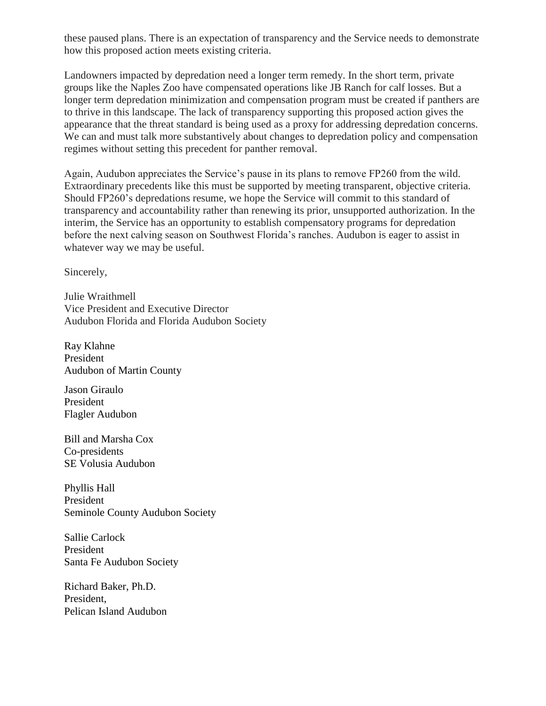these paused plans. There is an expectation of transparency and the Service needs to demonstrate how this proposed action meets existing criteria.

Landowners impacted by depredation need a longer term remedy. In the short term, private groups like the Naples Zoo have compensated operations like JB Ranch for calf losses. But a longer term depredation minimization and compensation program must be created if panthers are to thrive in this landscape. The lack of transparency supporting this proposed action gives the appearance that the threat standard is being used as a proxy for addressing depredation concerns. We can and must talk more substantively about changes to depredation policy and compensation regimes without setting this precedent for panther removal.

Again, Audubon appreciates the Service's pause in its plans to remove FP260 from the wild. Extraordinary precedents like this must be supported by meeting transparent, objective criteria. Should FP260's depredations resume, we hope the Service will commit to this standard of transparency and accountability rather than renewing its prior, unsupported authorization. In the interim, the Service has an opportunity to establish compensatory programs for depredation before the next calving season on Southwest Florida's ranches. Audubon is eager to assist in whatever way we may be useful.

Sincerely,

Julie Wraithmell Vice President and Executive Director Audubon Florida and Florida Audubon Society

Ray Klahne President Audubon of Martin County

Jason Giraulo President Flagler Audubon

Bill and Marsha Cox Co-presidents SE Volusia Audubon

Phyllis Hall President Seminole County Audubon Society

Sallie Carlock President Santa Fe Audubon Society

Richard Baker, Ph.D. President, Pelican Island Audubon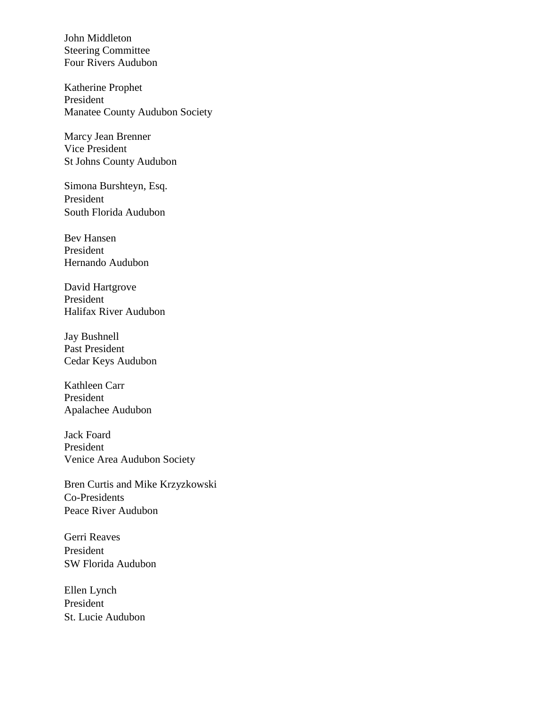John Middleton Steering Committee Four Rivers Audubon

Katherine Prophet President Manatee County Audubon Society

Marcy Jean Brenner Vice President St Johns County Audubon

Simona Burshteyn, Esq. President South Florida Audubon

Bev Hansen President Hernando Audubon

David Hartgrove President Halifax River Audubon

Jay Bushnell Past President Cedar Keys Audubon

Kathleen Carr President Apalachee Audubon

Jack Foard President Venice Area Audubon Society

Bren Curtis and Mike Krzyzkowski Co-Presidents Peace River Audubon

Gerri Reaves President SW Florida Audubon

Ellen Lynch President St. Lucie Audubon